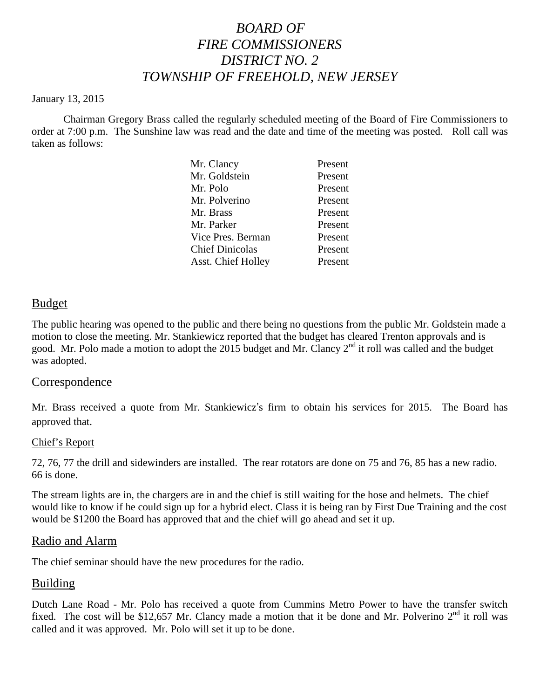# *BOARD OF FIRE COMMISSIONERS DISTRICT NO. 2 TOWNSHIP OF FREEHOLD, NEW JERSEY*

#### January 13, 2015

Chairman Gregory Brass called the regularly scheduled meeting of the Board of Fire Commissioners to order at 7:00 p.m. The Sunshine law was read and the date and time of the meeting was posted. Roll call was taken as follows:

| Mr. Clancy                | Present |
|---------------------------|---------|
| Mr. Goldstein             | Present |
| Mr. Polo                  | Present |
| Mr. Polverino             | Present |
| Mr. Brass                 | Present |
| Mr. Parker                | Present |
| Vice Pres. Berman         | Present |
| <b>Chief Dinicolas</b>    | Present |
| <b>Asst. Chief Holley</b> | Present |
|                           |         |

#### Budget

The public hearing was opened to the public and there being no questions from the public Mr. Goldstein made a motion to close the meeting. Mr. Stankiewicz reported that the budget has cleared Trenton approvals and is good. Mr. Polo made a motion to adopt the 2015 budget and Mr. Clancy  $2<sup>nd</sup>$  it roll was called and the budget was adopted.

#### **Correspondence**

Mr. Brass received a quote from Mr. Stankiewicz's firm to obtain his services for 2015. The Board has approved that.

#### Chief's Report

72, 76, 77 the drill and sidewinders are installed. The rear rotators are done on 75 and 76, 85 has a new radio. 66 is done.

The stream lights are in, the chargers are in and the chief is still waiting for the hose and helmets. The chief would like to know if hecould sign up for a hybrid elect. Class itis being ran by First Due Training and the cost would be \$1200 the Board has approved that and the chief will go ahead and set it up.

#### Radio and Alarm

The chief seminar should have the new procedures for the radio.

#### Building

Dutch Lane Road - Mr. Polo has received a quote from Cummins Metro Power to have the transfer switch fixed. The cost will be \$12,657 Mr. Clancy made a motion that it be done and Mr. Polverino  $2<sup>nd</sup>$  it roll was called and it was approved. Mr. Polo will set it up to be done.